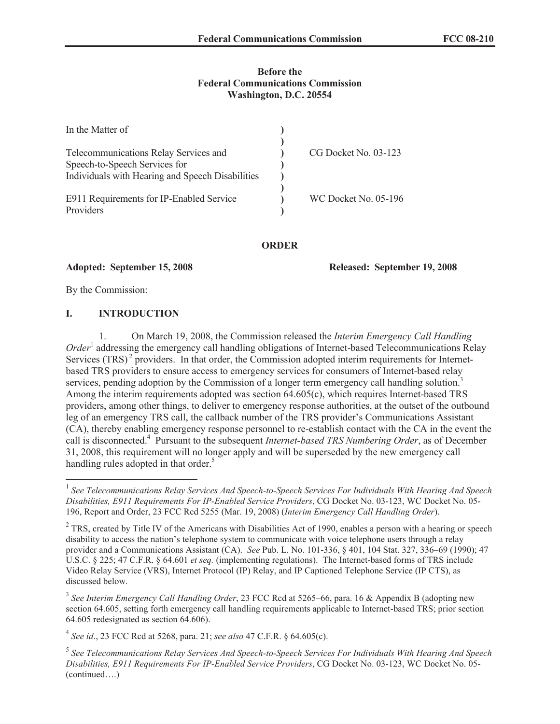## **Before the Federal Communications Commission Washington, D.C. 20554**

| In the Matter of                                 |                             |
|--------------------------------------------------|-----------------------------|
|                                                  |                             |
| Telecommunications Relay Services and            | CG Docket No. 03-123        |
| Speech-to-Speech Services for                    |                             |
| Individuals with Hearing and Speech Disabilities |                             |
|                                                  |                             |
| E911 Requirements for IP-Enabled Service         | <b>WC Docket No. 05-196</b> |
| Providers                                        |                             |

## **ORDER**

**Adopted: September 15, 2008 Released: September 19, 2008**

By the Commission:

# **I. INTRODUCTION**

1. On March 19, 2008, the Commission released the *Interim Emergency Call Handling Order* 1 addressing the emergency call handling obligations of Internet-based Telecommunications Relay Services  $(TRS)^2$  providers. In that order, the Commission adopted interim requirements for Internetbased TRS providers to ensure access to emergency services for consumers of Internet-based relay services, pending adoption by the Commission of a longer term emergency call handling solution.<sup>3</sup> Among the interim requirements adopted was section 64.605(c), which requires Internet-based TRS providers, among other things, to deliver to emergency response authorities, at the outset of the outbound leg of an emergency TRS call, the callback number of the TRS provider's Communications Assistant (CA), thereby enabling emergency response personnel to re-establish contact with the CA in the event the call is disconnected.<sup>4</sup> Pursuant to the subsequent *Internet-based TRS Numbering Order*, as of December 31, 2008, this requirement will no longer apply and will be superseded by the new emergency call handling rules adopted in that order.<sup>5</sup>

<sup>&</sup>lt;sup>1</sup> See Telecommunications Relay Services And Speech-to-Speech Services For Individuals With Hearing And Speech *Disabilities, E911 Requirements For IP-Enabled Service Providers*, CG Docket No. 03-123, WC Docket No. 05- 196, Report and Order, 23 FCC Rcd 5255 (Mar. 19, 2008) (*Interim Emergency Call Handling Order*).

 $2$  TRS, created by Title IV of the Americans with Disabilities Act of 1990, enables a person with a hearing or speech disability to access the nation's telephone system to communicate with voice telephone users through a relay provider and a Communications Assistant (CA). *See* Pub. L. No. 101-336, § 401, 104 Stat. 327, 336–69 (1990); 47 U.S.C. § 225; 47 C.F.R. § 64.601 *et seq.* (implementing regulations). The Internet-based forms of TRS include Video Relay Service (VRS), Internet Protocol (IP) Relay, and IP Captioned Telephone Service (IP CTS), as discussed below.

<sup>3</sup> *See Interim Emergency Call Handling Order*, 23 FCC Rcd at 5265–66, para. 16 & Appendix B (adopting new section 64.605, setting forth emergency call handling requirements applicable to Internet-based TRS; prior section 64.605 redesignated as section 64.606).

<sup>4</sup> *See id*., 23 FCC Rcd at 5268, para. 21; *see also* 47 C.F.R. § 64.605(c).

<sup>5</sup> *See Telecommunications Relay Services And Speech-to-Speech Services For Individuals With Hearing And Speech Disabilities, E911 Requirements For IP-Enabled Service Providers*, CG Docket No. 03-123, WC Docket No. 05- (continued….)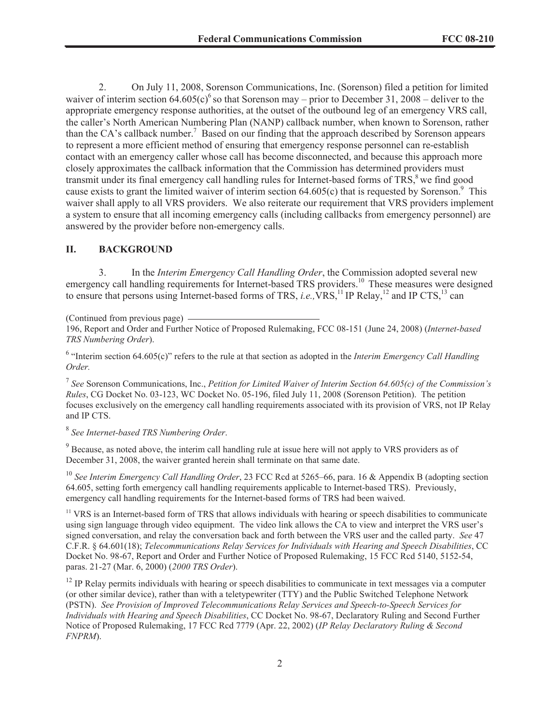2. On July 11, 2008, Sorenson Communications, Inc. (Sorenson) filed a petition for limited waiver of interim section  $64.605(c)^6$  so that Sorenson may – prior to December 31, 2008 – deliver to the appropriate emergency response authorities, at the outset of the outbound leg of an emergency VRS call, the caller's North American Numbering Plan (NANP) callback number, when known to Sorenson, rather than the CA's callback number.<sup>7</sup> Based on our finding that the approach described by Sorenson appears to represent a more efficient method of ensuring that emergency response personnel can re-establish contact with an emergency caller whose call has become disconnected, and because this approach more closely approximates the callback information that the Commission has determined providers must transmit under its final emergency call handling rules for Internet-based forms of TRS,<sup>8</sup> we find good cause exists to grant the limited waiver of interim section  $64.605(c)$  that is requested by Sorenson.<sup>9</sup> This waiver shall apply to all VRS providers. We also reiterate our requirement that VRS providers implement a system to ensure that all incoming emergency calls (including callbacks from emergency personnel) are answered by the provider before non-emergency calls.

## **II. BACKGROUND**

3. In the *Interim Emergency Call Handling Order*, the Commission adopted several new emergency call handling requirements for Internet-based TRS providers.<sup>10</sup> These measures were designed to ensure that persons using Internet-based forms of TRS, *i.e.*, VRS,<sup>11</sup> IP Relay,<sup>12</sup> and IP CTS,<sup>13</sup> can

(Continued from previous page)

196, Report and Order and Further Notice of Proposed Rulemaking, FCC 08-151 (June 24, 2008) (*Internet-based TRS Numbering Order*).

<sup>6</sup> "Interim section 64.605(c)" refers to the rule at that section as adopted in the *Interim Emergency Call Handling Order.*

7 *See* Sorenson Communications, Inc., *Petition for Limited Waiver of Interim Section 64.605(c) of the Commission's Rules*, CG Docket No. 03-123, WC Docket No. 05-196, filed July 11, 2008 (Sorenson Petition). The petition focuses exclusively on the emergency call handling requirements associated with its provision of VRS, not IP Relay and IP CTS.

8 *See Internet-based TRS Numbering Order*.

<sup>9</sup> Because, as noted above, the interim call handling rule at issue here will not apply to VRS providers as of December 31, 2008, the waiver granted herein shall terminate on that same date.

<sup>10</sup> *See Interim Emergency Call Handling Order*, 23 FCC Rcd at 5265–66, para. 16 & Appendix B (adopting section 64.605, setting forth emergency call handling requirements applicable to Internet-based TRS). Previously, emergency call handling requirements for the Internet-based forms of TRS had been waived.

<sup>11</sup> VRS is an Internet-based form of TRS that allows individuals with hearing or speech disabilities to communicate using sign language through video equipment. The video link allows the CA to view and interpret the VRS user's signed conversation, and relay the conversation back and forth between the VRS user and the called party. *See* 47 C.F.R. § 64.601(18); *Telecommunications Relay Services for Individuals with Hearing and Speech Disabilities*, CC Docket No. 98-67, Report and Order and Further Notice of Proposed Rulemakin*g*, 15 FCC Rcd 5140, 5152-54, paras. 21-27 (Mar. 6, 2000) (*2000 TRS Order*).

 $12$  IP Relay permits individuals with hearing or speech disabilities to communicate in text messages via a computer (or other similar device), rather than with a teletypewriter (TTY) and the Public Switched Telephone Network (PSTN). *See Provision of Improved Telecommunications Relay Services and Speech-to-Speech Services for Individuals with Hearing and Speech Disabilities*, CC Docket No. 98-67, Declaratory Ruling and Second Further Notice of Proposed Rulemaking, 17 FCC Rcd 7779 (Apr. 22, 2002) (*IP Relay Declaratory Ruling & Second FNPRM*).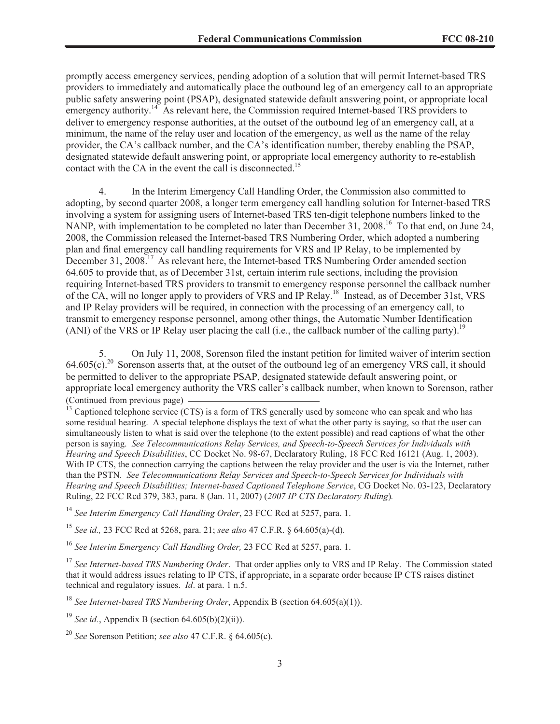promptly access emergency services, pending adoption of a solution that will permit Internet-based TRS providers to immediately and automatically place the outbound leg of an emergency call to an appropriate public safety answering point (PSAP), designated statewide default answering point, or appropriate local emergency authority.<sup>14</sup> As relevant here, the Commission required Internet-based TRS providers to deliver to emergency response authorities, at the outset of the outbound leg of an emergency call, at a minimum, the name of the relay user and location of the emergency, as well as the name of the relay provider, the CA's callback number, and the CA's identification number, thereby enabling the PSAP, designated statewide default answering point, or appropriate local emergency authority to re-establish contact with the CA in the event the call is disconnected.<sup>15</sup>

4. In the Interim Emergency Call Handling Order, the Commission also committed to adopting, by second quarter 2008, a longer term emergency call handling solution for Internet-based TRS involving a system for assigning users of Internet-based TRS ten-digit telephone numbers linked to the NANP, with implementation to be completed no later than December 31, 2008.<sup>16</sup> To that end, on June 24, 2008, the Commission released the Internet-based TRS Numbering Order, which adopted a numbering plan and final emergency call handling requirements for VRS and IP Relay, to be implemented by December 31, 2008.<sup>17</sup> As relevant here, the Internet-based TRS Numbering Order amended section 64.605 to provide that, as of December 31st, certain interim rule sections, including the provision requiring Internet-based TRS providers to transmit to emergency response personnel the callback number of the CA, will no longer apply to providers of VRS and IP Relay.<sup>18</sup> Instead, as of December 31st, VRS and IP Relay providers will be required, in connection with the processing of an emergency call, to transmit to emergency response personnel, among other things, the Automatic Number Identification (ANI) of the VRS or IP Relay user placing the call (i.e., the callback number of the calling party).<sup>19</sup>

5. On July 11, 2008, Sorenson filed the instant petition for limited waiver of interim section  $64.605(c)$ .<sup>20</sup> Sorenson asserts that, at the outset of the outbound leg of an emergency VRS call, it should be permitted to deliver to the appropriate PSAP, designated statewide default answering point, or appropriate local emergency authority the VRS caller's callback number, when known to Sorenson, rather (Continued from previous page)

 $<sup>13</sup>$  Captioned telephone service (CTS) is a form of TRS generally used by someone who can speak and who has</sup> some residual hearing. A special telephone displays the text of what the other party is saying, so that the user can simultaneously listen to what is said over the telephone (to the extent possible) and read captions of what the other person is saying. *See Telecommunications Relay Services, and Speech-to-Speech Services for Individuals with Hearing and Speech Disabilities*, CC Docket No. 98-67, Declaratory Ruling, 18 FCC Rcd 16121 (Aug. 1, 2003). With IP CTS, the connection carrying the captions between the relay provider and the user is via the Internet, rather than the PSTN. *See Telecommunications Relay Services and Speech-to-Speech Services for Individuals with Hearing and Speech Disabilities; Internet-based Captioned Telephone Service*, CG Docket No. 03-123, Declaratory Ruling, 22 FCC Rcd 379, 383, para. 8 (Jan. 11, 2007) (*2007 IP CTS Declaratory Ruling*)*.* 

<sup>14</sup> *See Interim Emergency Call Handling Order*, 23 FCC Rcd at 5257, para. 1.

<sup>15</sup> *See id.,* 23 FCC Rcd at 5268, para. 21; *see also* 47 C.F.R. § 64.605(a)-(d).

<sup>16</sup> *See Interim Emergency Call Handling Order,* 23 FCC Rcd at 5257, para. 1.

<sup>17</sup> See Internet-based TRS Numbering Order. That order applies only to VRS and IP Relay. The Commission stated that it would address issues relating to IP CTS, if appropriate, in a separate order because IP CTS raises distinct technical and regulatory issues. *Id*. at para. 1 n.5.

<sup>18</sup> *See Internet-based TRS Numbering Order*, Appendix B (section 64.605(a)(1)).

<sup>19</sup> *See id.*, Appendix B (section  $64.605(b)(2)(ii)$ ).

<sup>20</sup> *See* Sorenson Petition; *see also* 47 C.F.R. § 64.605(c).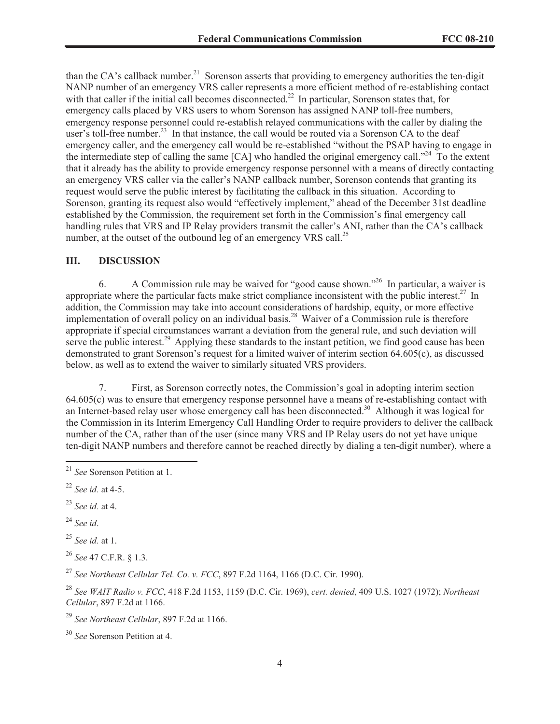than the CA's callback number.<sup>21</sup> Sorenson asserts that providing to emergency authorities the ten-digit NANP number of an emergency VRS caller represents a more efficient method of re-establishing contact with that caller if the initial call becomes disconnected.<sup>22</sup> In particular, Sorenson states that, for emergency calls placed by VRS users to whom Sorenson has assigned NANP toll-free numbers, emergency response personnel could re-establish relayed communications with the caller by dialing the user's toll-free number.<sup>23</sup> In that instance, the call would be routed via a Sorenson CA to the deaf emergency caller, and the emergency call would be re-established "without the PSAP having to engage in the intermediate step of calling the same  $[CA]$  who handled the original emergency call."<sup>24</sup> To the extent that it already has the ability to provide emergency response personnel with a means of directly contacting an emergency VRS caller via the caller's NANP callback number, Sorenson contends that granting its request would serve the public interest by facilitating the callback in this situation. According to Sorenson, granting its request also would "effectively implement," ahead of the December 31st deadline established by the Commission, the requirement set forth in the Commission's final emergency call handling rules that VRS and IP Relay providers transmit the caller's ANI, rather than the CA's callback number, at the outset of the outbound leg of an emergency VRS call.<sup>25</sup>

#### **III. DISCUSSION**

6. A Commission rule may be waived for "good cause shown."<sup>26</sup> In particular, a waiver is appropriate where the particular facts make strict compliance inconsistent with the public interest.<sup>27</sup> In addition, the Commission may take into account considerations of hardship, equity, or more effective implementation of overall policy on an individual basis.<sup>28</sup> Waiver of a Commission rule is therefore appropriate if special circumstances warrant a deviation from the general rule, and such deviation will serve the public interest.<sup>29</sup> Applying these standards to the instant petition, we find good cause has been demonstrated to grant Sorenson's request for a limited waiver of interim section 64.605(c), as discussed below, as well as to extend the waiver to similarly situated VRS providers.

7. First, as Sorenson correctly notes, the Commission's goal in adopting interim section 64.605(c) was to ensure that emergency response personnel have a means of re-establishing contact with an Internet-based relay user whose emergency call has been disconnected.<sup>30</sup> Although it was logical for the Commission in its Interim Emergency Call Handling Order to require providers to deliver the callback number of the CA, rather than of the user (since many VRS and IP Relay users do not yet have unique ten-digit NANP numbers and therefore cannot be reached directly by dialing a ten-digit number), where a

<sup>24</sup> *See id*.

<sup>25</sup> *See id.* at 1.

<sup>26</sup> *See* 47 C.F.R. § 1.3.

<sup>27</sup> *See Northeast Cellular Tel. Co. v. FCC*, 897 F.2d 1164, 1166 (D.C. Cir. 1990).

<sup>28</sup> *See WAIT Radio v. FCC*, 418 F.2d 1153, 1159 (D.C. Cir. 1969), *cert. denied*, 409 U.S. 1027 (1972); *Northeast Cellular*, 897 F.2d at 1166.

<sup>29</sup> *See Northeast Cellular*, 897 F.2d at 1166.

<sup>21</sup> *See* Sorenson Petition at 1.

<sup>22</sup> *See id.* at 4-5.

<sup>23</sup> *See id.* at 4.

<sup>30</sup> *See* Sorenson Petition at 4.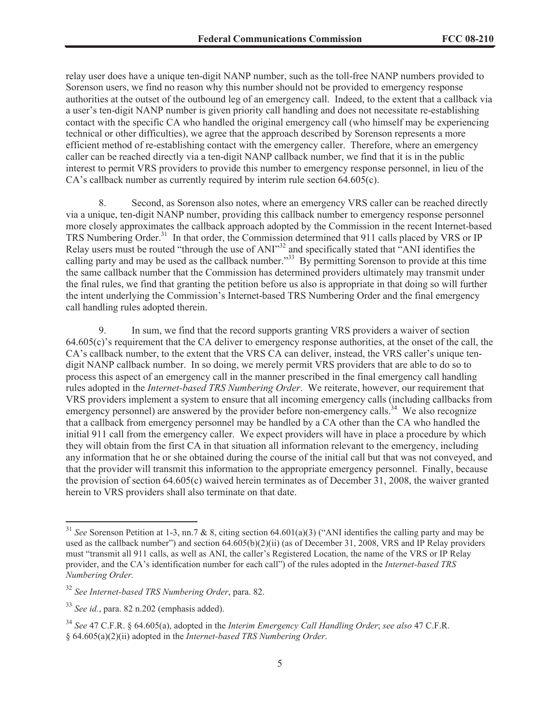relay user does have a unique ten-digit NANP number, such as the toll-free NANP numbers provided to Sorenson users, we find no reason why this number should not be provided to emergency response authorities at the outset of the outbound leg of an emergency call. Indeed, to the extent that a callback via a user's ten-digit NANP number is given priority call handling and does not necessitate re-establishing contact with the specific CA who handled the original emergency call (who himself may be experiencing technical or other difficulties), we agree that the approach described by Sorenson represents a more efficient method of re-establishing contact with the emergency caller. Therefore, where an emergency caller can be reached directly via a ten-digit NANP callback number, we find that it is in the public interest to permit VRS providers to provide this number to emergency response personnel, in lieu of the CA's callback number as currently required by interim rule section 64.605(c).

8. Second, as Sorenson also notes, where an emergency VRS caller can be reached directly via a unique, ten-digit NANP number, providing this callback number to emergency response personnel more closely approximates the callback approach adopted by the Commission in the recent Internet-based TRS Numbering Order.<sup>31</sup> In that order, the Commission determined that 911 calls placed by VRS or IP Relay users must be routed "through the use of ANI"<sup>32</sup> and specifically stated that "ANI identifies the calling party and may be used as the callback number."<sup>33</sup> By permitting Sorenson to provide at this time the same callback number that the Commission has determined providers ultimately may transmit under the final rules, we find that granting the petition before us also is appropriate in that doing so will further the intent underlying the Commission's Internet-based TRS Numbering Order and the final emergency call handling rules adopted therein.

9. In sum, we find that the record supports granting VRS providers a waiver of section 64.605(c)'s requirement that the CA deliver to emergency response authorities, at the onset of the call, the CA's callback number, to the extent that the VRS CA can deliver, instead, the VRS caller's unique tendigit NANP callback number. In so doing, we merely permit VRS providers that are able to do so to process this aspect of an emergency call in the manner prescribed in the final emergency call handling rules adopted in the *Internet-based TRS Numbering Order*. We reiterate, however, our requirement that VRS providers implement a system to ensure that all incoming emergency calls (including callbacks from emergency personnel) are answered by the provider before non-emergency calls.<sup>34</sup> We also recognize that a callback from emergency personnel may be handled by a CA other than the CA who handled the initial 911 call from the emergency caller. We expect providers will have in place a procedure by which they will obtain from the first CA in that situation all information relevant to the emergency, including any information that he or she obtained during the course of the initial call but that was not conveyed, and that the provider will transmit this information to the appropriate emergency personnel. Finally, because the provision of section 64.605(c) waived herein terminates as of December 31, 2008, the waiver granted herein to VRS providers shall also terminate on that date.

<sup>31</sup> *See* Sorenson Petition at 1-3, nn.7 & 8, citing section 64.601(a)(3) ("ANI identifies the calling party and may be used as the callback number") and section 64.605(b)(2)(ii) (as of December 31, 2008, VRS and IP Relay providers must "transmit all 911 calls, as well as ANI, the caller's Registered Location, the name of the VRS or IP Relay provider, and the CA's identification number for each call") of the rules adopted in the *Internet-based TRS Numbering Order.*

<sup>32</sup> *See Internet-based TRS Numbering Order*, para. 82.

<sup>33</sup> *See id.*, para. 82 n.202 (emphasis added).

<sup>34</sup> *See* 47 C.F.R. § 64.605(a), adopted in the *Interim Emergency Call Handling Order*; *see also* 47 C.F.R. § 64.605(a)(2)(ii) adopted in the *Internet-based TRS Numbering Order*.